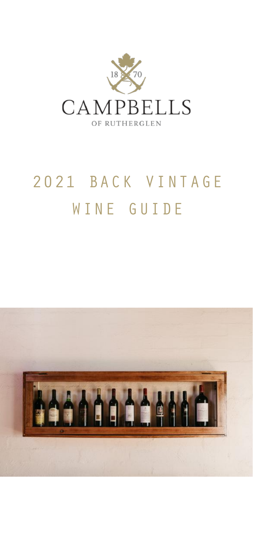

# 2021 BACK VINTAGE WINE GUIDE

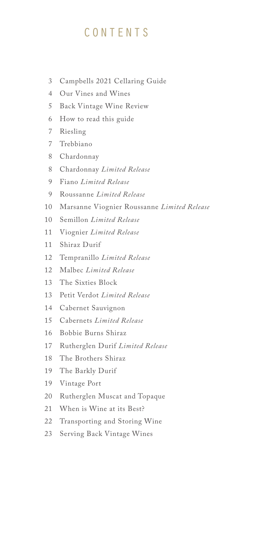# **CONTENTS**

- Campbells 2021 Cellaring Guide 3
- Our Vines and Wines 4
- 5 Back Vintage Wine Review
- How to read this guide 6
- / Riesling
- Trebbiano 7
- Chardonnay 8
- Chardonnay *Limited Release* 8
- Fiano *Limited Release* 9
- Roussanne *Limited Release* 9
- Marsanne Viognier Roussanne *Limited Release*  10
- Semillon *Limited Release* 10
- Viognier *Limited Release* 11
- Shiraz Durif 11
- 12 Tempranillo *Limited Release*
- Malbec *Limited Release*  12
- 13 The Sixties Block
- Petit Verdot *Limited Release* 13
- Cabernet Sauvignon 14
- Cabernets *Limited Release* 15
- Bobbie Burns Shiraz 16
- Rutherglen Durif *Limited Release* 17
- The Brothers Shiraz 18
- The Barkly Durif 19
- Vintage Port 19
- 20 Rutherglen Muscat and Topaque
- When is Wine at its Best? 21
- Transporting and Storing Wine 22
- Serving Back Vintage Wines 23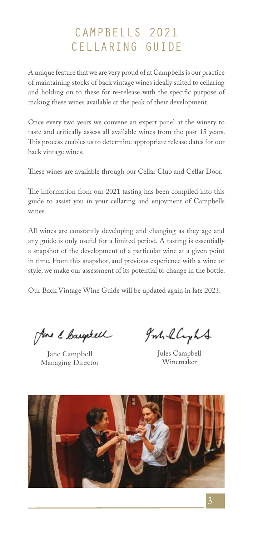# CAMPBELLS 2021 CELLARING GUIDE

A unique feature that we are very proud of at Campbells is our practice of maintaining stocks of back vintage wines ideally suited to cellaring and holding on to these for re-release with the specific purpose of making these wines available at the peak of their development.

Once every two years we convene an expert panel at the winery to taste and critically assess all available wines from the past 15 years. This process enables us to determine appropriate release dates for our back vintage wines.

These wines are available through our Cellar Club and Cellar Door.

The information from our 2021 tasting has been compiled into this guide to assist you in your cellaring and enjoyment of Campbells wines.

All wines are constantly developing and changing as they age and any guide is only useful for a limited period. A tasting is essentially a snapshot of the development of a particular wine at a given point in time. From this snapshot, and previous experience with a wine or style, we make our assessment of its potential to change in the bottle.

Our Back Vintage Wine Guide will be updated again in late 2023.

Jone & Cauptell

Jane Campbell Managing Director

graholyht

Jules Campbell Winemaker

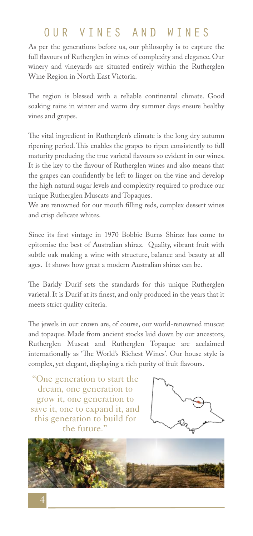# OUR VINES AND WINES

As per the generations before us, our philosophy is to capture the full flavours of Rutherglen in wines of complexity and elegance. Our winery and vineyards are situated entirely within the Rutherglen Wine Region in North East Victoria.

The region is blessed with a reliable continental climate. Good soaking rains in winter and warm dry summer days ensure healthy vines and grapes.

The vital ingredient in Rutherglen's climate is the long dry autumn ripening period. This enables the grapes to ripen consistently to full maturity producing the true varietal flavours so evident in our wines. It is the key to the flavour of Rutherglen wines and also means that the grapes can confidently be left to linger on the vine and develop the high natural sugar levels and complexity required to produce our unique Rutherglen Muscats and Topaques.

We are renowned for our mouth filling reds, complex dessert wines and crisp delicate whites.

Since its first vintage in 1970 Bobbie Burns Shiraz has come to epitomise the best of Australian shiraz. Quality, vibrant fruit with subtle oak making a wine with structure, balance and beauty at all ages. It shows how great a modern Australian shiraz can be.

The Barkly Durif sets the standards for this unique Rutherglen varietal. It is Durif at its finest, and only produced in the years that it meets strict quality criteria.

The jewels in our crown are, of course, our world-renowned muscat and topaque. Made from ancient stocks laid down by our ancestors, Rutherglen Muscat and Rutherglen Topaque are acclaimed internationally as 'The World's Richest Wines'. Our house style is complex, yet elegant, displaying a rich purity of fruit flavours.

"One generation to start the dream, one generation to grow it, one generation to save it, one to expand it, and this generation to build for the future."



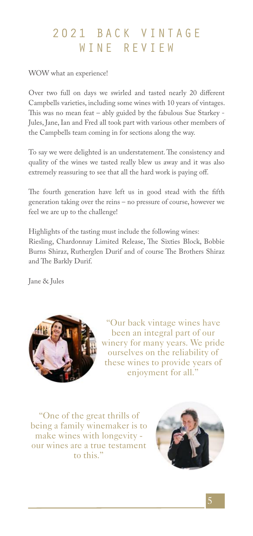# 2021 BACK VINTAGE WINE REVIEW

WOW what an experience!

Over two full on days we swirled and tasted nearly 20 different Campbells varieties, including some wines with 10 years of vintages. This was no mean feat – ably guided by the fabulous Sue Starkey - Jules, Jane, Ian and Fred all took part with various other members of the Campbells team coming in for sections along the way.

To say we were delighted is an understatement. The consistency and quality of the wines we tasted really blew us away and it was also extremely reassuring to see that all the hard work is paying off.

The fourth generation have left us in good stead with the fifth generation taking over the reins – no pressure of course, however we feel we are up to the challenge!

Highlights of the tasting must include the following wines: Riesling, Chardonnay Limited Release, The Sixties Block, Bobbie Burns Shiraz, Rutherglen Durif and of course The Brothers Shiraz and The Barkly Durif.

Jane & Jules



"Our back vintage wines have been an integral part of our winery for many years. We pride ourselves on the reliability of these wines to provide years of enjoyment for all."

"One of the great thrills of being a family winemaker is to make wines with longevity our wines are a true testament to this."

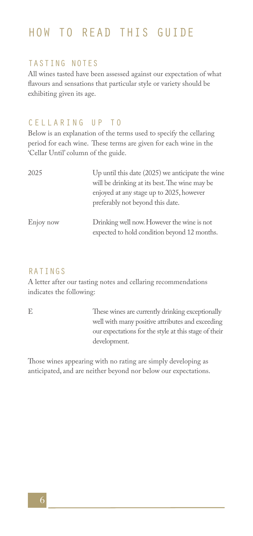# HOW TO READ THIS GUIDE

#### TASTING NOTES

All wines tasted have been assessed against our expectation of what flavours and sensations that particular style or variety should be exhibiting given its age.

#### CELLARING UP TO

Below is an explanation of the terms used to specify the cellaring period for each wine. These terms are given for each wine in the 'Cellar Until' column of the guide.

| 2025      | Up until this date $(2025)$ we anticipate the wine<br>will be drinking at its best. The wine may be<br>enjoyed at any stage up to 2025, however<br>preferably not beyond this date. |
|-----------|-------------------------------------------------------------------------------------------------------------------------------------------------------------------------------------|
| Enjoy now | Drinking well now. However the wine is not<br>expected to hold condition beyond 12 months.                                                                                          |

#### RATINGS

A letter after our tasting notes and cellaring recommendations indicates the following:

E These wines are currently drinking exceptionally well with many positive attributes and exceeding our expectations for the style at this stage of their development.

Those wines appearing with no rating are simply developing as anticipated, and are neither beyond nor below our expectations.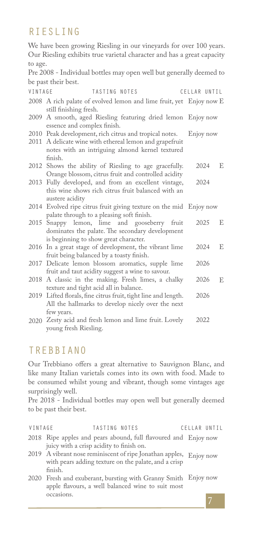# RIESLING

We have been growing Riesling in our vineyards for over 100 years. Our Riesling exhibits true varietal character and has a great capacity to age.

Pre 2008 - Individual bottles may open well but generally deemed to be past their best.

| VINTAGE | TASTING NOTES                                                                                                                            | CELLAR UNTIL |   |
|---------|------------------------------------------------------------------------------------------------------------------------------------------|--------------|---|
|         | 2008 A rich palate of evolved lemon and lime fruit, yet Enjoy now E<br>still finishing fresh.                                            |              |   |
|         | 2009 A smooth, aged Riesling featuring dried lemon Enjoy now<br>essence and complex finish.                                              |              |   |
|         | 2010 Peak development, rich citrus and tropical notes.<br>2011 A delicate wine with ethereal lemon and grapefruit                        | Enjoy now    |   |
|         | notes with an intriguing almond kernel textured<br>finish                                                                                |              |   |
|         | 2012 Shows the ability of Riesling to age gracefully.<br>Orange blossom, citrus fruit and controlled acidity                             | 2024         | E |
|         | 2013 Fully developed, and from an excellent vintage,<br>this wine shows rich citrus fruit balanced with an<br>austere acidity            | 2024         |   |
|         | 2014 Evolved ripe citrus fruit giving texture on the mid Enjoy now<br>palate through to a pleasing soft finish.                          |              |   |
|         | 2015 Snappy lemon, lime and gooseberry fruit<br>dominates the palate. The secondary development<br>is beginning to show great character. | 2025         | E |
|         | 2016 In a great stage of development, the vibrant lime<br>fruit being balanced by a toasty finish.                                       | 2024         | E |
|         | 2017 Delicate lemon blossom aromatics, supple lime<br>fruit and taut acidity suggest a wine to savour.                                   | 2026         |   |
|         | 2018 A classic in the making. Fresh limes, a chalky<br>texture and tight acid all in balance.                                            | 2026         | E |
|         | 2019 Lifted florals, fine citrus fruit, tight line and length.<br>All the hallmarks to develop nicely over the next<br>few years.        | 2026         |   |
|         | 2020 Zesty acid and fresh lemon and lime fruit. Lovely<br>young fresh Riesling.                                                          | 2022         |   |

### TREBBIANO

Our Trebbiano offers a great alternative to Sauvignon Blanc, and like many Italian varietals comes into its own with food. Made to be consumed whilst young and vibrant, though some vintages age surprisingly well.

Pre 2018 - Individual bottles may open well but generally deemed to be past their best.

| VINTAGE |                                          | TASTING NOTES |                                                                    | CELLAR UNTIL |  |
|---------|------------------------------------------|---------------|--------------------------------------------------------------------|--------------|--|
|         |                                          |               | 2018 Ripe apples and pears abound, full flavoured and Enjoy now    |              |  |
|         | juicy with a crisp acidity to finish on. |               |                                                                    |              |  |
|         |                                          |               | 2019 A vibrant nose reminiscent of ripe Jonathan apples, Enjoy now |              |  |
|         |                                          |               | with pears adding texture on the palate, and a crisp               |              |  |
|         | finish.                                  |               |                                                                    |              |  |
|         |                                          |               | 2020 Fresh and exuberant, bursting with Granny Smith Enjoy now     |              |  |
|         |                                          |               | apple flavours, a well balanced wine to suit most                  |              |  |
|         | occasions.                               |               |                                                                    |              |  |
|         |                                          |               |                                                                    |              |  |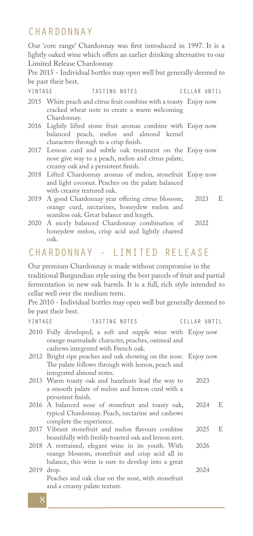### **CHARDONNAY**

Our 'core range' Chardonnay was first introduced in 1997. It is a lightly oaked wine which offers an earlier drinking alternative to our Limited Release Chardonnay.

Pre 2015 - Individual bottles may open well but generally deemed to be past their best.

| VINTAGE | TASTING NOTES | CELLAR UNTIL |  |
|---------|---------------|--------------|--|
|         |               |              |  |

| 2015 White peach and citrus fruit combine with a toasty Enjoy now |  |
|-------------------------------------------------------------------|--|
| cracked wheat note to create a warm welcoming                     |  |
| Chardonnay.                                                       |  |

- Lightly lifted stone fruit aromas combine with 2016 Enjoy now balanced peach, melon and almond kernel characters through to a crisp finish.
- Lemon curd and subtle oak treatment on the 2017 Enjoy now nose give way to a peach, melon and citrus palate, creamy oak and a persistent finish.
- Lifted Chardonnay aromas of melon, stonefruit 2018 Enjoy now and light coconut. Peaches on the palate balanced with creamy textured oak.
- A good Chardonnay year offering citrus blossom, orange curd, nectarines, honeydew melon and seamless oak. Great balance and length. 2019 2023 E
- A nicely balanced Chardonnay combination of 2020 honeydew melon, crisp acid and lightly charred oak. 2022

### CHARDONNAY - LIMITED RELEASE

Our premium Chardonnay is made without compromise in the traditional Burgundian style using the best parcels of fruit and partial fermentation in new oak barrels. It is a full, rich style intended to cellar well over the medium term.

Pre 2010 - Individual bottles may open well but generally deemed to be past their best.

| VINTAGE | TASTING NOTES                                                                                                                                                | CELLAR UNTIL |      |   |
|---------|--------------------------------------------------------------------------------------------------------------------------------------------------------------|--------------|------|---|
|         | 2010 Fully developed, a soft and supple wine with Enjoy now<br>orange marmalade character, peaches, oatmeal and<br>cashews integrated with French oak.       |              |      |   |
|         | 2012 Bright ripe peaches and oak showing on the nose. Enjoy now<br>The palate follows through with lemon, peach and<br>integrated almond notes.              |              |      |   |
|         | 2013 Warm toasty oak and hazelnuts lead the way to<br>a smooth palate of melon and lemon curd with a<br>persistent finish.                                   |              | 2023 |   |
|         | 2016 A balanced nose of stonefruit and toasty oak,<br>typical Chardonnay. Peach, nectarine and cashews<br>complete the experience.                           |              | 2024 | E |
|         | 2017 Vibrant stonefruit and melon flavours combine<br>beautifully with freshly toasted oak and lemon zest.                                                   |              | 2025 | E |
|         | 2018 A restrained, elegant wine in its youth. With<br>orange blossom, stonefruit and crisp acid all in<br>balance, this wine is sure to develop into a great | 2026         |      |   |
|         | 2019 drop.<br>Peaches and oak char on the nose, with stonefruit<br>and a creamy palate texture.                                                              |              | 2024 |   |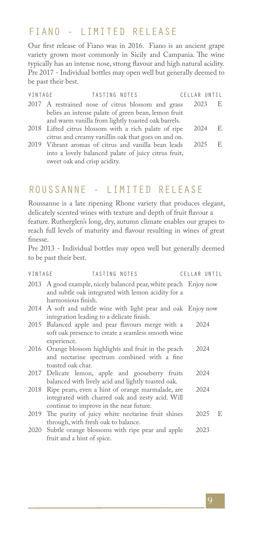### FIANO - LIMITED RELEASE

Our first release of Fiano was in 2016. Fiano is an ancient grape variety grown most commonly in Sicily and Campania. The wine typically has an intense nose, strong flavour and high natural acidity. Pre 2017 - Individual bottles may open well but generally deemed to be past their best.

| VINTAGE | TASTING NOTES                                         | CELLAR UNTIL |     |
|---------|-------------------------------------------------------|--------------|-----|
|         | 2017 A restrained nose of citrus blossom and grass    | 2023         | E   |
|         | belies an intense palate of green bean, lemon fruit   |              |     |
|         | and warm vanilla from lightly toasted oak barrels.    |              |     |
|         | 2018 Lifted citrus blossom with a rich palate of ripe | 2024         | E   |
|         | citrus and creamy vanillin oak that goes on and on.   |              |     |
|         | 2019 Vibrant aromas of citrus and vanilla bean leads  | 2025         | -E. |
|         | into a lovely balanced palate of juicy citrus fruit,  |              |     |
|         |                                                       |              |     |

### ROUSSANNE - LIMITED RELEASE

sweet oak and crisp acidity.

Roussanne is a late ripening Rhone variety that produces elegant, delicately scented wines with texture and depth of fruit flavour a feature. Rutherglen's long, dry, autumn climate enables our grapes to reach full levels of maturity and flavour resulting in wines of great finesse.

Pre 2013 - Individual bottles may open well but generally deemed to be past their best.

| VINTAGE | TASTING NOTES                                                                                                                                        | CELLAR UNTIL |   |
|---------|------------------------------------------------------------------------------------------------------------------------------------------------------|--------------|---|
|         | 2013 A good example, nicely balanced pear, white peach Enjoy now<br>and subtle oak integrated with lemon acidity for a<br>harmonious finish.         |              |   |
|         | 2014 A soft and subtle wine with light pear and oak Enjoy now<br>integration leading to a delicate finish.                                           |              |   |
|         | 2015 Balanced apple and pear flavours merge with a<br>soft oak presence to create a seamless smooth wine<br>experience.                              | 2024         |   |
|         | 2016 Orange blossom highlights and fruit in the peach<br>and nectarine spectrum combined with a fine<br>toasted oak char.                            | 2024         |   |
|         | 2017 Delicate lemon, apple and gooseberry fruits<br>balanced with lively acid and lightly toasted oak.                                               | 2024         |   |
|         | 2018 Ripe pears, even a hint of orange marmalade, are<br>integrated with charred oak and zesty acid. Will<br>continue to improve in the near future. | 2024         |   |
|         | 2019 The purity of juicy white nectarine fruit shines<br>through, with fresh oak to balance.                                                         | 2025         | E |
|         | 2020 Subtle orange blossoms with ripe pear and apple<br>fruit and a hint of spice.                                                                   | 2023         |   |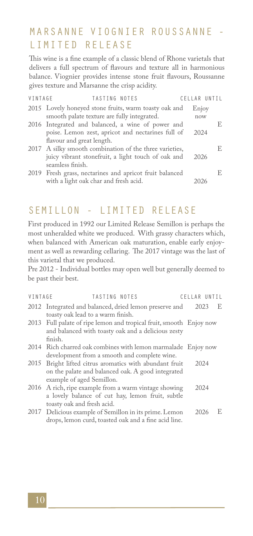# MARSANNE VIOGNIER ROUSSANNE LIMITED RELEASE

This wine is a fine example of a classic blend of Rhone varietals that delivers a full spectrum of flavours and texture all in harmonious balance. Viognier provides intense stone fruit flavours, Roussanne gives texture and Marsanne the crisp acidity.

| VINTAGE | TASTING NOTES                                           | CELLAR |    |
|---------|---------------------------------------------------------|--------|----|
|         | 2015 Lovely honeyed stone fruits, warm toasty oak and   | Enjoy  |    |
|         | smooth palate texture are fully integrated.             | now    |    |
|         | 2016 Integrated and balanced, a wine of power and       |        | E. |
|         | poise. Lemon zest, apricot and nectarines full of       | 2024   |    |
|         | flavour and great length.                               |        |    |
|         | 2017 A silky smooth combination of the three varieties, |        | E. |
|         | juicy vibrant stonefruit, a light touch of oak and      | 2026   |    |
|         | seamless finish.                                        |        |    |
|         | 2019 Fresh grass, nectarines and apricot fruit balanced |        | E. |
|         | with a light oak char and fresh acid.                   |        |    |
|         |                                                         |        |    |

## SEMILLON - LIMITED RELEASE

First produced in 1992 our Limited Release Semillon is perhaps the most unheralded white we produced. With grassy characters which, when balanced with American oak maturation, enable early enjoyment as well as rewarding cellaring. The 2017 vintage was the last of this varietal that we produced.

Pre 2012 - Individual bottles may open well but generally deemed to be past their best.

| VINTAGE | TASTING NOTES                                                       | CELLAR UNTIL |      |   |
|---------|---------------------------------------------------------------------|--------------|------|---|
|         | 2012 Integrated and balanced, dried lemon preserve and              |              | 2023 | E |
|         | toasty oak lead to a warm finish.                                   |              |      |   |
|         | 2013 Full palate of ripe lemon and tropical fruit, smooth Enjoy now |              |      |   |
|         | and balanced with toasty oak and a delicious zesty                  |              |      |   |
|         | finish.                                                             |              |      |   |
|         | 2014 Rich charred oak combines with lemon marmalade Enjoy now       |              |      |   |
|         | development from a smooth and complete wine.                        |              |      |   |
|         | 2015 Bright lifted citrus aromatics with abundant fruit             |              | 2024 |   |
|         | on the palate and balanced oak. A good integrated                   |              |      |   |
|         | example of aged Semillon.                                           |              |      |   |
|         | 2016 A rich, ripe example from a warm vintage showing               |              | 2024 |   |
|         | a lovely balance of cut hay, lemon fruit, subtle                    |              |      |   |
|         | toasty oak and fresh acid.                                          |              |      |   |
|         | 2017 Delicious example of Semillon in its prime. Lemon              |              | 2026 | E |
|         | drops, lemon curd, toasted oak and a fine acid line.                |              |      |   |

#### 10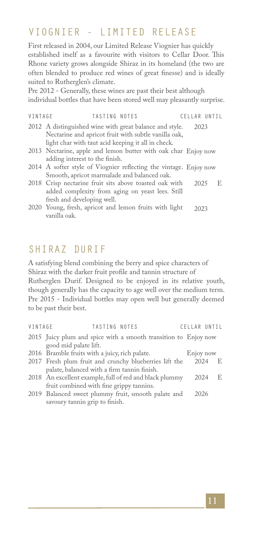### VIOGNIER - LIMITED RELEASE

First released in 2004, our Limited Release Viognier has quickly established itself as a favourite with visitors to Cellar Door. This Rhone variety grows alongside Shiraz in its homeland (the two are often blended to produce red wines of great finesse) and is ideally suited to Rutherglen's climate.

Pre 2012 - Generally, these wines are past their best although individual bottles that have been stored well may pleasantly surprise.

| VINTAGE | TASTING NOTES                                                     | CELLAR UNTIL |  |
|---------|-------------------------------------------------------------------|--------------|--|
|         | 2012 A distinguished wine with great balance and style.           | 2023         |  |
|         | Nectarine and apricot fruit with subtle vanilla oak,              |              |  |
|         | light char with taut acid keeping it all in check.                |              |  |
|         | 2013 Nectarine, apple and lemon butter with oak char Enjoy now    |              |  |
|         | adding interest to the finish.                                    |              |  |
|         | 2014 A softer style of Viognier reflecting the vintage. Enjoy now |              |  |
|         | Smooth, apricot marmalade and balanced oak.                       |              |  |

- 2018 Crisp nectarine fruit sits above toasted oak with 2025 E added complexity from aging on yeast lees. Still fresh and developing well.
- 2020 Young, fresh, apricot and lemon fruits with light 2023 vanilla oak.

# SHIRAZ DURIF

A satisfying blend combining the berry and spice characters of Shiraz with the darker fruit profile and tannin structure of Rutherglen Durif. Designed to be enjoyed in its relative youth, though generally has the capacity to age well over the medium term. Pre 2015 - Individual bottles may open well but generally deemed to be past their best.

| VINTAGE | <b>TASTING NOTES</b>                                            | CELLAR UNTIL |             |   |
|---------|-----------------------------------------------------------------|--------------|-------------|---|
|         | 2015 Juicy plum and spice with a smooth transition to Enjoy now |              |             |   |
|         | good mid palate lift.                                           |              |             |   |
|         | 2016 Bramble fruits with a juicy, rich palate.                  |              | Enjoy now   |   |
|         | 2017 Fresh plum fruit and crunchy blueberries lift the          |              | 2024<br>- E |   |
|         | palate, balanced with a firm tannin finish.                     |              |             |   |
|         | 2018 An excellent example, full of red and black plummy         |              | 2024        | E |
|         | fruit combined with fine grippy tannins.                        |              |             |   |
|         | 2019 Balanced sweet plummy fruit, smooth palate and             | 2026         |             |   |
|         | savoury tannin grip to finish.                                  |              |             |   |
|         |                                                                 |              |             |   |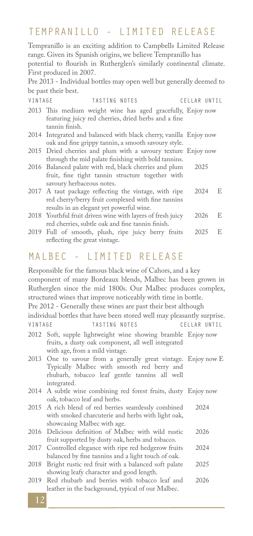### TEMPRANILLO - LIMITED RELEASE

Tempranillo is an exciting addition to Campbells Limited Release range. Given its Spanish origins, we believe Tempranillo has

potential to flourish in Rutherglen's similarly continental climate. First produced in 2007.

Pre 2013 - Individual bottles may open well but generally deemed to be past their best.

| VINTAGE | TASTING NOTES                                                                                                                                           | CELLAR UNTIL |   |
|---------|---------------------------------------------------------------------------------------------------------------------------------------------------------|--------------|---|
|         | 2013 This medium weight wine has aged gracefully, Enjoy now<br>featuring juicy red cherries, dried herbs and a fine<br>tannin finish.                   |              |   |
|         | 2014 Integrated and balanced with black cherry, vanilla Enjoy now<br>oak and fine grippy tannin, a smooth savoury style.                                |              |   |
|         | 2015 Dried cherries and plum with a savoury texture Enjoy now<br>through the mid palate finishing with bold tannins.                                    |              |   |
|         | 2016 Balanced palate with red, black cherries and plum<br>fruit, fine tight tannin structure together with<br>savoury herbaceous notes.                 | 2025         |   |
|         | 2017 A taut package reflecting the vintage, with ripe<br>red cherry/berry fruit complexed with fine tannins<br>results in an elegant yet powerful wine. | 2024         | E |
|         | 2018 Youthful fruit driven wine with layers of fresh juicy<br>red cherries, subtle oak and fine tannin finish.                                          | 2026         | E |
|         |                                                                                                                                                         |              |   |

2019 Full of smooth, plush, ripe juicy berry fruits reflecting the great vintage. 2025 E

#### MALBEC - LIMITED RELEASE

2012 Soft, supple lightweight wine showing bramble Enjoy now fruits, a dusty oak component, all well integrated with age, from a mild vintage. 2013 One to savour from a generally great vintage. Enjoy now E Typically Malbec with smooth red berry and rhubarb, tobacco leaf gentle tannins all well integrated. A subtle wine combining red forest fruits, dusty 2014 Enjoy now oak, tobacco leaf and herbs. A rich blend of red berries seamlessly combined 2015 with smoked charcuterie and herbs with light oak, showcasing Malbec with age. 2016 Delicious definition of Malbec with wild rustic fruit supported by dusty oak, herbs and tobacco. 2017 Controlled elegance with ripe red hedgerow fruits balanced by fine tannins and a light touch of oak. 2018 Bright rustic red fruit with a balanced soft palate showing leafy character and good length. 2019 Red rhubarb and berries with tobacco leaf and leather in the background, typical of our Malbec. 2024 2026 2024 2025 2026 Responsible for the famous black wine of Cahors, and a key component of many Bordeaux blends, Malbec has been grown in Rutherglen since the mid 1800s. Our Malbec produces complex, structured wines that improve noticeably with time in bottle. Pre 2012 - Generally these wines are past their best although individual bottles that have been stored well may pleasantly surprise. TASTING NOTES

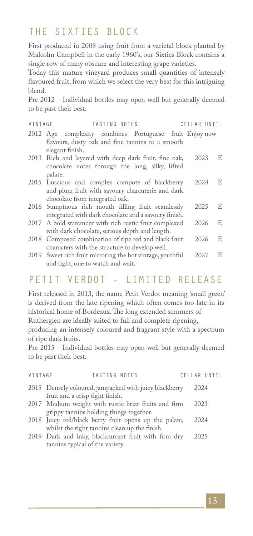# THE SIXTIES BLOCK

First produced in 2008 using fruit from a varietal block planted by Malcolm Campbell in the early 1960's, our Sixties Block contains a single row of many obscure and interesting grape varieties.

Today this mature vineyard produces small quantities of intensely flavoured fruit, from which we select the very best for this intriguing blend.

Pre 2012 - Individual bottles may open well but generally deemed to be past their best.

| VINTAGE | TASTING NOTES                                                                                                                         | CELLAR UNTIL |   |
|---------|---------------------------------------------------------------------------------------------------------------------------------------|--------------|---|
|         | 2012 Age complexity combines Portuguese fruit Enjoy now<br>flavours, dusty oak and fine tannins to a smooth<br>elegant finish.        |              |   |
|         | 2013 Rich and layered with deep dark fruit, fine oak,<br>chocolate notes through the long, silky, lifted<br>palate.                   | 2023         | E |
|         | 2015 Luscious and complex compote of blackberry<br>and plum fruit with savoury charcuterie and dark<br>chocolate from integrated oak. | 2024         | E |
|         | 2016 Sumptuous rich mouth filling fruit seamlessly<br>integrated with dark chocolate and a savoury finish.                            | 2025         | E |
|         | 2017 A bold statement with rich rustic fruit complexed<br>with dark chocolate, serious depth and length.                              | 2026         | E |
| 2018    | Composed combination of ripe red and black fruit<br>characters with the structure to develop well.                                    | 2026         | E |
|         | 2019 Sweet rich fruit mirroring the hot vintage, youthful<br>and tight, one to watch and wait.                                        | 2027         | E |

# PETIT VERDOT - LIMITED RELEASE

First released in 2013, the name Petit Verdot meaning 'small green' is derived from the late ripening which often comes too late in its historical home of Bordeaux. The long extended summers of

Rutherglen are ideally suited to full and complete ripening,

producing an intensely coloured and fragrant style with a spectrum of ripe dark fruits.

Pre 2015 - Individual bottles may open well but generally deemed to be past their best.

| VINTAGE | TASTING NOTES                                                                                          | CELLAR UNTIL |  |
|---------|--------------------------------------------------------------------------------------------------------|--------------|--|
|         | 2015 Densely coloured, jampacked with juicy blackberry<br>fruit and a crisp tight finish.              | 2024         |  |
|         | 2017 Medium weight with rustic briar fruits and firm<br>grippy tannins holding things together.        | 2023         |  |
|         | 2018 Juicy red/black berry fruit opens up the palate,<br>whilst the tight tannins clean up the finish. | 2024         |  |
|         | 2019 Dark and inky, blackcurrant fruit with firm dry<br>tannins typical of the variety.                | 2025         |  |
|         |                                                                                                        |              |  |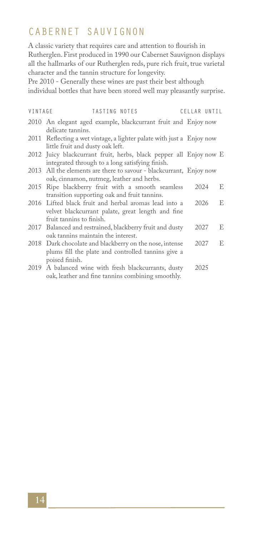# CABERNET SAUVIGNON

A classic variety that requires care and attention to flourish in Rutherglen. First produced in 1990 our Cabernet Sauvignon displays all the hallmarks of our Rutherglen reds, pure rich fruit, true varietal character and the tannin structure for longevity.

Pre 2010 - Generally these wines are past their best although individual bottles that have been stored well may pleasantly surprise.

| VINTAGE | TASTING NOTES                                                                                                                          | CELLAR UNTIL |   |
|---------|----------------------------------------------------------------------------------------------------------------------------------------|--------------|---|
|         | 2010 An elegant aged example, blackcurrant fruit and Enjoy now<br>delicate tannins.                                                    |              |   |
|         | 2011 Reflecting a wet vintage, a lighter palate with just a Enjoy now<br>little fruit and dusty oak left.                              |              |   |
|         | 2012 Juicy blackcurrant fruit, herbs, black pepper all Enjoy now E<br>integrated through to a long satisfying finish.                  |              |   |
|         | 2013 All the elements are there to savour - blackcurrant, Enjoy now<br>oak, cinnamon, nutmeg, leather and herbs.                       |              |   |
|         | 2015 Ripe blackberry fruit with a smooth seamless<br>transition supporting oak and fruit tannins.                                      | 2024         | E |
|         | 2016 Lifted black fruit and herbal aromas lead into a<br>velvet blackcurrant palate, great length and fine<br>fruit tannins to finish. | 2026         | E |
|         | 2017 Balanced and restrained, blackberry fruit and dusty<br>oak tannins maintain the interest.                                         | 2027         | E |
|         | 2018 Dark chocolate and blackberry on the nose, intense<br>plums fill the plate and controlled tannins give a<br>poised finish.        | 2027         | E |
|         | 2019 A balanced wine with fresh blackcurrants, dusty<br>oak, leather and fine tannins combining smoothly.                              | 2025         |   |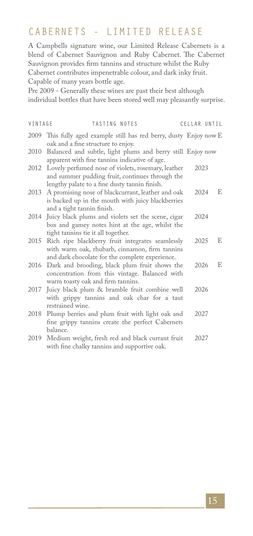# CABERNETS - LIMITED RELEASE

A Campbells signature wine, our Limited Release Cabernets is a blend of Cabernet Sauvignon and Ruby Cabernet. The Cabernet Sauvignon provides firm tannins and structure whilst the Ruby Cabernet contributes impenetrable colour, and dark inky fruit. Capable of many years bottle age.

Pre 2009 - Generally these wines are past their best although individual bottles that have been stored well may pleasantly surprise.

| VINTAGE | TASTING NOTES                                                                                                                                               |      | CELLAR UNTIL |
|---------|-------------------------------------------------------------------------------------------------------------------------------------------------------------|------|--------------|
|         | 2009 This fully aged example still has red berry, dusty Enjoy now E<br>oak and a fine structure to enjoy.                                                   |      |              |
|         | 2010 Balanced and subtle, light plums and berry still Enjoy now<br>apparent with fine tannins indicative of age.                                            |      |              |
|         | 2012 Lovely perfumed nose of violets, rosemary, leather<br>and summer pudding fruit, continues through the<br>lengthy palate to a fine dusty tannin finish. | 2023 |              |
|         | 2013 A promising nose of blackcurrant, leather and oak<br>is backed up in the mouth with juicy blackberries<br>and a tight tannin finish.                   | 2024 | E            |
| 2014    | Juicy black plums and violets set the scene, cigar<br>box and gamey notes hint at the age, whilst the<br>tight tannins tie it all together.                 | 2024 |              |
|         | 2015 Rich ripe blackberry fruit integrates seamlessly<br>with warm oak, rhubarb, cinnamon, firm tannins<br>and dark chocolate for the complete experience.  | 2025 | E            |
|         | 2016 Dark and brooding, black plum fruit shows the<br>concentration from this vintage. Balanced with<br>warm toasty oak and firm tannins.                   | 2026 | E            |
| 2017    | Juicy black plum & bramble fruit combine well<br>with grippy tannins and oak char for a taut<br>restrained wine.                                            | 2026 |              |
|         | 2018 Plump berries and plum fruit with light oak and<br>fine grippy tannins create the perfect Cabernets<br>balance.                                        | 2027 |              |
| 2019    | Medium weight, fresh red and black currant fruit<br>with fine chalky tannins and supportive oak.                                                            | 2027 |              |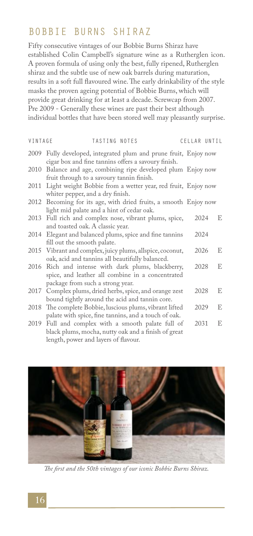### BOBBIE BURNS SHIRAZ

Fifty consecutive vintages of our Bobbie Burns Shiraz have established Colin Campbell's signature wine as a Rutherglen icon. A proven formula of using only the best, fully ripened, Rutherglen shiraz and the subtle use of new oak barrels during maturation, results in a soft full flavoured wine. The early drinkability of the style masks the proven ageing potential of Bobbie Burns, which will provide great drinking for at least a decade. Screwcap from 2007. Pre 2009 - Generally these wines are past their best although individual bottles that have been stored well may pleasantly surprise.

| VINTAGE | TASTING NOTES                                                                                                                                     | CELLAR UNTIL |   |
|---------|---------------------------------------------------------------------------------------------------------------------------------------------------|--------------|---|
|         | 2009 Fully developed, integrated plum and prune fruit, Enjoy now<br>cigar box and fine tannins offers a savoury finish.                           |              |   |
|         | 2010 Balance and age, combining ripe developed plum Enjoy now<br>fruit through to a savoury tannin finish.                                        |              |   |
| 2011    | Light weight Bobbie from a wetter year, red fruit, Enjoy now<br>whiter pepper, and a dry finish.                                                  |              |   |
|         | 2012 Becoming for its age, with dried fruits, a smooth Enjoy now<br>light mid palate and a hint of cedar oak.                                     |              |   |
|         | 2013 Full rich and complex nose, vibrant plums, spice,<br>and toasted oak. A classic year.                                                        | 2024         | E |
|         | 2014 Elegant and balanced plums, spice and fine tannins<br>fill out the smooth palate.                                                            | 2024         |   |
|         | 2015 Vibrant and complex, juicy plums, allspice, coconut,<br>oak, acid and tannins all beautifully balanced.                                      | 2026         | E |
|         | 2016 Rich and intense with dark plums, blackberry,<br>spice, and leather all combine in a concentrated<br>package from such a strong year.        | 2028         | E |
|         | 2017 Complex plums, dried herbs, spice, and orange zest<br>bound tightly around the acid and tannin core.                                         | 2028         | E |
|         | 2018 The complete Bobbie, luscious plums, vibrant lifted<br>palate with spice, fine tannins, and a touch of oak.                                  | 2029         | E |
|         | 2019 Full and complex with a smooth palate full of<br>black plums, mocha, nutty oak and a finish of great<br>length, power and layers of flavour. | 2031         | E |



*The first and the 50th vintages of our iconic Bobbie Burns Shiraz.*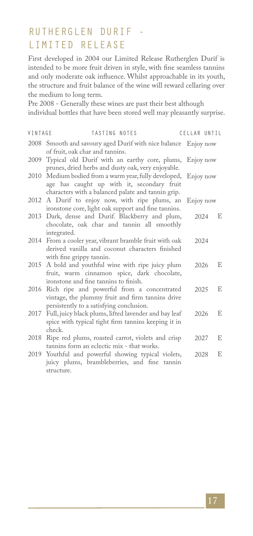# RUTHERGLEN DURIF - LIMITED RELEASE

First developed in 2004 our Limited Release Rutherglen Durif is intended to be more fruit driven in style, with fine seamless tannins and only moderate oak influence. Whilst approachable in its youth, the structure and fruit balance of the wine will reward cellaring over the medium to long term.

Pre 2008 - Generally these wines are past their best although individual bottles that have been stored well may pleasantly surprise.

| VINTAGE | TASTING NOTES                                                                                                                                                       | CELLAR UNTIL |   |
|---------|---------------------------------------------------------------------------------------------------------------------------------------------------------------------|--------------|---|
|         | 2008 Smooth and savoury aged Durif with nice balance Enjoy now<br>of fruit, oak char and tannins.                                                                   |              |   |
|         | 2009 Typical old Durif with an earthy core, plums, Enjoy now<br>prunes, dried herbs and dusty oak, very enjoyable.                                                  |              |   |
|         | 2010 Medium bodied from a warm year, fully developed, Enjoy now<br>age has caught up with it, secondary fruit<br>characters with a balanced palate and tannin grip. |              |   |
|         | 2012 A Durif to enjoy now, with ripe plums, an Enjoy now<br>ironstone core, light oak support and fine tannins.                                                     |              |   |
|         | 2013 Dark, dense and Durif. Blackberry and plum,<br>chocolate, oak char and tannin all smoothly<br>integrated.                                                      | 2024         | E |
|         | 2014 From a cooler year, vibrant bramble fruit with oak<br>derived vanilla and coconut characters finished<br>with fine grippy tannin.                              | 2024         |   |
|         | 2015 A bold and youthful wine with ripe juicy plum<br>fruit, warm cinnamon spice, dark chocolate,<br>ironstone and fine tannins to finish.                          | 2026         | E |
|         | 2016 Rich ripe and powerful from a concentrated<br>vintage, the plummy fruit and firm tannins drive<br>persistently to a satisfying conclusion.                     | 2025         | E |
|         | 2017 Full, juicy black plums, lifted lavender and bay leaf<br>spice with typical tight firm tannins keeping it in<br>check.                                         | 2026         | E |
|         | 2018 Ripe red plums, roasted carrot, violets and crisp<br>tannins form an eclectic mix - that works.                                                                | 2027         | E |
|         | 2019 Youthful and powerful showing typical violets,<br>juicy plums, brambleberries, and fine tannin<br>structure.                                                   | 2028         | E |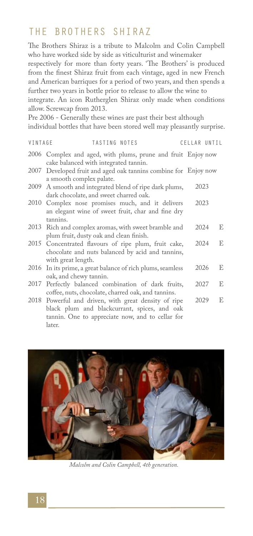### THE BROTHERS SHIRAZ

The Brothers Shiraz is a tribute to Malcolm and Colin Campbell who have worked side by side as viticulturist and winemaker

respectively for more than forty years. 'The Brothers' is produced from the finest Shiraz fruit from each vintage, aged in new French and American barriques for a period of two years, and then spends a further two years in bottle prior to release to allow the wine to

integrate. An icon Rutherglen Shiraz only made when conditions allow. Screwcap from 2013.

Pre 2006 - Generally these wines are past their best although individual bottles that have been stored well may pleasantly surprise.

| VINTAGE | TASTING NOTES                                                                                                                  | CELLAR UNTIL |   |
|---------|--------------------------------------------------------------------------------------------------------------------------------|--------------|---|
|         | 2006 Complex and aged, with plums, prune and fruit Enjoy now<br>cake balanced with integrated tannin.                          |              |   |
|         | 2007 Developed fruit and aged oak tannins combine for Enjoy now<br>a smooth complex palate.                                    |              |   |
|         | 2009 A smooth and integrated blend of ripe dark plums,<br>dark chocolate, and sweet charred oak.                               | 2023         |   |
|         | 2010 Complex nose promises much, and it delivers<br>an elegant wine of sweet fruit, char and fine dry<br>tannins.              | 2023         |   |
|         | 2013 Rich and complex aromas, with sweet bramble and<br>plum fruit, dusty oak and clean finish.                                | 2024         | E |
|         | 2015 Concentrated flavours of ripe plum, fruit cake,<br>chocolate and nuts balanced by acid and tannins,<br>with great length. | 2024         | E |
|         | 2016 In its prime, a great balance of rich plums, seamless<br>oak, and chewy tannin.                                           | 2026         | E |
|         | 2017 Perfectly balanced combination of dark fruits,                                                                            | 2027         | E |

2018 Powerful and driven, with great density of ripe black plum and blackcurrant, spices, and oak tannin. One to appreciate now, and to cellar for later. 2029 E

coffee, nuts, chocolate, charred oak, and tannins.



*Malcolm and Colin Campbell, 4th generation.*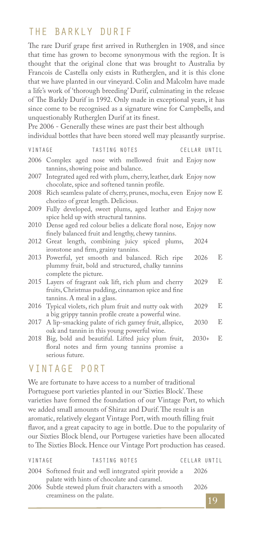### THE BARKLY DURIF

The rare Durif grape first arrived in Rutherglen in 1908, and since that time has grown to become synonymous with the region. It is thought that the original clone that was brought to Australia by Francois de Castella only exists in Rutherglen, and it is this clone that we have planted in our vineyard. Colin and Malcolm have made a life's work of 'thorough breeding' Durif, culminating in the release of The Barkly Durif in 1992. Only made in exceptional years, it has since come to be recognised as a signature wine for Campbells, and unquestionably Rutherglen Durif at its finest.

Pre 2006 - Generally these wines are past their best although individual bottles that have been stored well may pleasantly surprise.

| VINTAGE | TASTING NOTES                                                                                                                               | CELLAR UNTIL |    |
|---------|---------------------------------------------------------------------------------------------------------------------------------------------|--------------|----|
|         | 2006 Complex aged nose with mellowed fruit and Enjoy now<br>tannins, showing poise and balance.                                             |              |    |
| 2007    | Integrated aged red with plum, cherry, leather, dark Enjoy now<br>chocolate, spice and softened tannin profile.                             |              |    |
|         | 2008 Rich seamless palate of cherry, prunes, mocha, even Enjoy now E<br>chorizo of great length. Delicious.                                 |              |    |
| 2009    | Fully developed, sweet plums, aged leather and Enjoy now<br>spice held up with structural tannins.                                          |              |    |
|         | 2010 Dense aged red colour belies a delicate floral nose, Enjoy now<br>finely balanced fruit and lengthy, chewy tannins.                    |              |    |
|         | 2012 Great length, combining juicy spiced plums,<br>ironstone and firm, grainy tannins.                                                     | 2024         |    |
|         | 2013 Powerful, yet smooth and balanced. Rich ripe<br>plummy fruit, bold and structured, chalky tannins<br>complete the picture.             | 2026         | E  |
|         | 2015 Layers of fragrant oak lift, rich plum and cherry<br>fruits, Christmas pudding, cinnamon spice and fine<br>tannins. A meal in a glass. | 2029         | E. |
| 2016    | Typical violets, rich plum fruit and nutty oak with<br>a big grippy tannin profile create a powerful wine.                                  | 2029         | E  |
| 2017    | A lip-smacking palate of rich gamey fruit, allspice,<br>oak and tannin in this young powerful wine.                                         | 2030         | E  |
|         | 2018 Big, bold and beautiful. Lifted juicy plum fruit,<br>floral notes and firm young tannins promise a<br>serious future.                  | $2030+$      | E  |

#### VINTAGE PORT

We are fortunate to have access to a number of traditional Portuguese port varieties planted in our 'Sixties Block'. These varieties have formed the foundation of our Vintage Port, to which we added small amounts of Shiraz and Durif. The result is an aromatic, relatively elegant Vintage Port, with mouth filling fruit flavor, and a great capacity to age in bottle. Due to the popularity of our Sixties Block blend, our Portugese varieties have been allocated to The Sixties Block. Hence our Vintage Port production has ceased.

| VINTAGE | TASTING NOTES                                                                                           |      | CELLAR UNTIL |
|---------|---------------------------------------------------------------------------------------------------------|------|--------------|
|         | 2004 Softened fruit and well integrated spirit provide a<br>palate with hints of chocolate and caramel. | 2026 |              |
|         | 2006 Subtle stewed plum fruit characters with a smooth                                                  | 2026 |              |
|         | creaminess on the palate.                                                                               |      | 10           |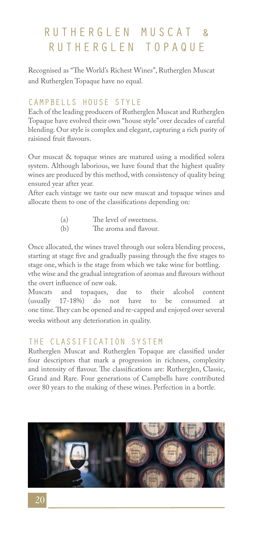# RUTHERGLEN MUSCAT & RUTHERGLEN TOPAQUE

Recognised as "The World's Richest Wines", Rutherglen Muscat and Rutherglen Topaque have no equal.

#### CAMPBELLS HOUSE STYLE

Each of the leading producers of Rutherglen Muscat and Rutherglen Topaque have evolved their own "house style" over decades of careful blending. Our style is complex and elegant, capturing a rich purity of raisined fruit flavours.

Our muscat & topaque wines are matured using a modified solera system. Although laborious, we have found that the highest quality wines are produced by this method, with consistency of quality being ensured year after year.

After each vintage we taste our new muscat and topaque wines and allocate them to one of the classifications depending on:

| (a) | The level of sweetness. |
|-----|-------------------------|
| (b) | The aroma and flavour.  |

Once allocated, the wines travel through our solera blending process, starting at stage five and gradually passing through the five stages to stage one, which is the stage from which we take wine for bottling.

vthe wine and the gradual integration of aromas and flavours without the overt influence of new oak.<br>Muscats and topaques,

topaques, due to their alcohol content (usually 17-18%) do not have to be consumed at one time. They can be opened and re-capped and enjoyed over several weeks without any deterioration in quality.

#### THE CLASSIFICATION SYSTEM

Rutherglen Muscat and Rutherglen Topaque are classified under four descriptors that mark a progression in richness, complexity and intensity of flavour. The classifications are: Rutherglen, Classic, Grand and Rare. Four generations of Campbells have contributed over 80 years to the making of these wines. Perfection in a bottle.

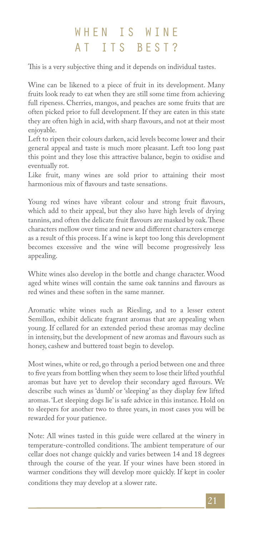# WHEN IS WINE AT ITS BEST?

This is a very subjective thing and it depends on individual tastes.

Wine can be likened to a piece of fruit in its development. Many fruits look ready to eat when they are still some time from achieving full ripeness. Cherries, mangos, and peaches are some fruits that are often picked prior to full development. If they are eaten in this state they are often high in acid, with sharp flavours, and not at their most enjoyable.

Left to ripen their colours darken, acid levels become lower and their general appeal and taste is much more pleasant. Left too long past this point and they lose this attractive balance, begin to oxidise and eventually rot.

Like fruit, many wines are sold prior to attaining their most harmonious mix of flavours and taste sensations.

Young red wines have vibrant colour and strong fruit flavours, which add to their appeal, but they also have high levels of drying tannins, and often the delicate fruit flavours are masked by oak. These characters mellow over time and new and different characters emerge as a result of this process. If a wine is kept too long this development becomes excessive and the wine will become progressively less appealing.

White wines also develop in the bottle and change character. Wood aged white wines will contain the same oak tannins and flavours as red wines and these soften in the same manner.

Aromatic white wines such as Riesling, and to a lesser extent Semillon, exhibit delicate fragrant aromas that are appealing when young. If cellared for an extended period these aromas may decline in intensity, but the development of new aromas and flavours such as honey, cashew and buttered toast begin to develop.

Most wines, white or red, go through a period between one and three to five years from bottling when they seem to lose their lifted youthful aromas but have yet to develop their secondary aged flavours. We describe such wines as 'dumb' or 'sleeping' as they display few lifted aromas. 'Let sleeping dogs lie' is safe advice in this instance. Hold on to sleepers for another two to three years, in most cases you will be rewarded for your patience.

Note: All wines tasted in this guide were cellared at the winery in temperature-controlled conditions. The ambient temperature of our cellar does not change quickly and varies between 14 and 18 degrees through the course of the year. If your wines have been stored in warmer conditions they will develop more quickly. If kept in cooler conditions they may develop at a slower rate.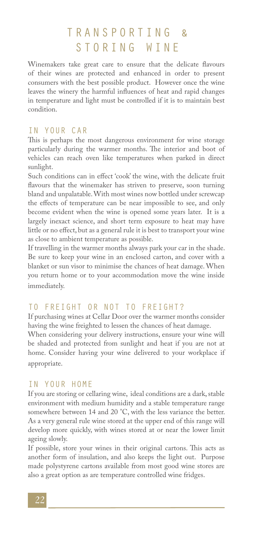# TRANSPORTING & STORING WINE

Winemakers take great care to ensure that the delicate flavours of their wines are protected and enhanced in order to present consumers with the best possible product. However once the wine leaves the winery the harmful influences of heat and rapid changes in temperature and light must be controlled if it is to maintain best condition.

#### IN YOUR CAR

This is perhaps the most dangerous environment for wine storage particularly during the warmer months. The interior and boot of vehicles can reach oven like temperatures when parked in direct sunlight.

Such conditions can in effect 'cook' the wine, with the delicate fruit flavours that the winemaker has striven to preserve, soon turning bland and unpalatable. With most wines now bottled under screwcap the effects of temperature can be near impossible to see, and only become evident when the wine is opened some years later. It is a largely inexact science, and short term exposure to heat may have little or no effect, but as a general rule it is best to transport your wine as close to ambient temperature as possible.

If travelling in the warmer months always park your car in the shade. Be sure to keep your wine in an enclosed carton, and cover with a blanket or sun visor to minimise the chances of heat damage. When you return home or to your accommodation move the wine inside immediately.

#### TO FREIGHT OR NOT TO FREIGHT?

If purchasing wines at Cellar Door over the warmer months consider having the wine freighted to lessen the chances of heat damage.

When considering your delivery instructions, ensure your wine will be shaded and protected from sunlight and heat if you are not at home. Consider having your wine delivered to your workplace if appropriate.

#### IN YOUR HOME

If you are storing or cellaring wine, ideal conditions are a dark, stable environment with medium humidity and a stable temperature range somewhere between 14 and 20 °C, with the less variance the better. As a very general rule wine stored at the upper end of this range will develop more quickly, with wines stored at or near the lower limit ageing slowly.

If possible, store your wines in their original cartons. This acts as another form of insulation, and also keeps the light out. Purpose made polystyrene cartons available from most good wine stores are also a great option as are temperature controlled wine fridges.

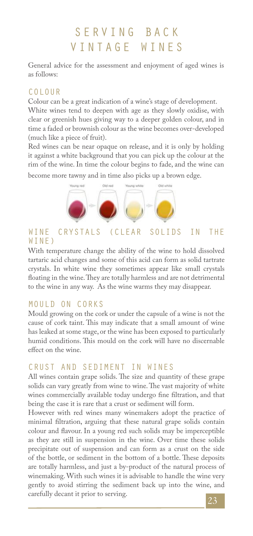# SERVING BACK VINTAGE WINES

General advice for the assessment and enjoyment of aged wines is as follows:

#### COLOUR

Colour can be a great indication of a wine's stage of development.

White wines tend to deepen with age as they slowly oxidise, with clear or greenish hues giving way to a deeper golden colour, and in time a faded or brownish colour as the wine becomes over-developed (much like a piece of fruit).

Red wines can be near opaque on release, and it is only by holding it against a white background that you can pick up the colour at the rim of the wine. In time the colour begins to fade, and the wine can become more tawny and in time also picks up a brown edge.



#### WINE CRYSTALS (CLEAR SOLIDS IN THE WINE)

With temperature change the ability of the wine to hold dissolved tartaric acid changes and some of this acid can form as solid tartrate crystals. In white wine they sometimes appear like small crystals floating in the wine. They are totally harmless and are not detrimental to the wine in any way. As the wine warms they may disappear.

#### MOULD ON CORKS

Mould growing on the cork or under the capsule of a wine is not the cause of cork taint. This may indicate that a small amount of wine has leaked at some stage, or the wine has been exposed to particularly humid conditions. This mould on the cork will have no discernable effect on the wine.

### CRUST AND SEDIMENT IN WINES

All wines contain grape solids. The size and quantity of these grape solids can vary greatly from wine to wine. The vast majority of white wines commercially available today undergo fine filtration, and that being the case it is rare that a crust or sediment will form.

However with red wines many winemakers adopt the practice of minimal filtration, arguing that these natural grape solids contain colour and flavour. In a young red such solids may be imperceptible as they are still in suspension in the wine. Over time these solids precipitate out of suspension and can form as a crust on the side of the bottle, or sediment in the bottom of a bottle. These deposits are totally harmless, and just a by-product of the natural process of winemaking. With such wines it is advisable to handle the wine very gently to avoid stirring the sediment back up into the wine, and carefully decant it prior to serving.